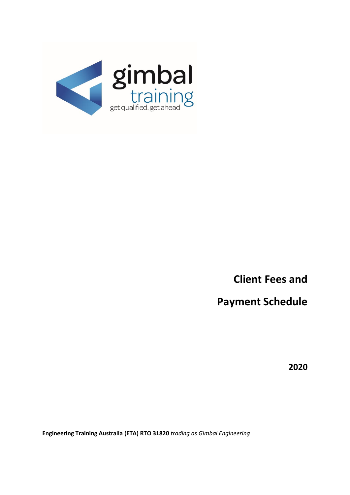

**Client Fees and**

**Payment Schedule**

**2020**

**Engineering Training Australia (ETA) RTO 31820** *trading as Gimbal Engineering*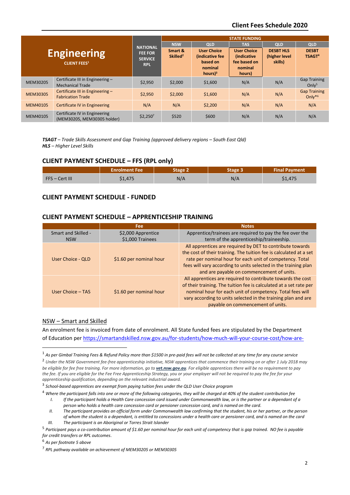# **Client Fees Schedule 2020**

| <b>Engineering</b><br><b>CLIENT FEES<sup>1</sup></b> |                                                              | <b>NATIONAL</b><br><b>FEE FOR</b><br><b>SERVICE</b><br><b>RPL</b> | <b>STATE FUNDING</b>            |                                                                                      |                                                                                |                                              |                                          |
|------------------------------------------------------|--------------------------------------------------------------|-------------------------------------------------------------------|---------------------------------|--------------------------------------------------------------------------------------|--------------------------------------------------------------------------------|----------------------------------------------|------------------------------------------|
|                                                      |                                                              |                                                                   | <b>NSW</b>                      | <b>QLD</b>                                                                           | <b>TAS</b>                                                                     | <b>QLD</b>                                   | <b>QLD</b>                               |
|                                                      |                                                              |                                                                   | Smart &<br>Skilled <sup>2</sup> | <b>User Choice</b><br>(indicative fee<br>based on<br>nominal<br>$hours$ <sup>3</sup> | <b>User Choice</b><br><i>(indicative)</i><br>fee based on<br>nominal<br>hours) | <b>DESBT HLS</b><br>(higher level<br>skills) | <b>DESBT</b><br>TSAGT <sup>4</sup>       |
| MEM30205                                             | Certificate III in Engineering -<br><b>Mechanical Trade</b>  | \$2,950                                                           | \$2,000                         | \$1,600                                                                              | N/A                                                                            | N/A                                          | <b>Gap Training</b><br>Onlv <sup>5</sup> |
| <b>MEM30305</b>                                      | Certificate III in Engineering -<br><b>Fabrication Trade</b> | \$2,950                                                           | \$2,000                         | \$1,600                                                                              | N/A                                                                            | N/A                                          | <b>Gap Training</b><br>Only $*6$         |
| MEM40105                                             | Certificate IV in Engineering                                | N/A                                                               | N/A                             | \$2,200                                                                              | N/A                                                                            | N/A                                          | N/A                                      |
| MEM40105                                             | Certificate IV in Engineering<br>(MEM30205, MEM30305 holder) | $$2,250^7$                                                        | \$520                           | \$600                                                                                | N/A                                                                            | N/A                                          | N/A                                      |

*TSAGT – Trade Skills Assessment and Gap Training (approved delivery regions – South East Qld) HLS – Higher Level Skills*

## **CLIENT PAYMENT SCHEDULE – FFS (RPL only)**

|                | <b>Enrolment Fee</b> | Stage i | taga | <b>Final Payment</b> |
|----------------|----------------------|---------|------|----------------------|
| FFS – Cert III | \$1,475              | N/A     | N/A  | \$1,475              |

# **CLIENT PAYMENT SCHEDULE - FUNDED**

## **CLIENT PAYMENT SCHEDULE – APPRENTICESHIP TRAINING**

|                          | Fee                     | <b>Notes</b>                                                                                                                                                                                                                                                                                                |
|--------------------------|-------------------------|-------------------------------------------------------------------------------------------------------------------------------------------------------------------------------------------------------------------------------------------------------------------------------------------------------------|
| Smart and Skilled -      | \$2,000 Apprentice      | Apprentice/trainees are required to pay the fee over the                                                                                                                                                                                                                                                    |
| <b>NSW</b>               | \$1,000 Trainees        | term of the apprenticeship/traineeship.                                                                                                                                                                                                                                                                     |
| <b>User Choice - QLD</b> | \$1.60 per nominal hour | All apprentices are required by DET to contribute towards<br>the cost of their training. The tuition fee is calculated at a set<br>rate per nominal hour for each unit of competency. Total<br>fees will vary according to units selected in the training plan<br>and are payable on commencement of units. |
| User Choice - TAS        | \$1.60 per nominal hour | All apprentices are required to contribute towards the cost<br>of their training. The tuition fee is calculated at a set rate per<br>nominal hour for each unit of competency. Total fees will<br>vary according to units selected in the training plan and are<br>payable on commencement of units.        |

#### NSW – Smart and Skilled

An enrolment fee is invoiced from date of enrolment. All State funded fees are stipulated by the Department of Education pe[r https://smartandskilled.nsw.gov.au/for-students/how-much-will-your-course-cost/how-are-](https://smartandskilled.nsw.gov.au/for-students/how-much-will-your-course-cost/how-are-fees-determined)

3 *School-based apprentices are exempt from paying tuition fees under the QLD User Choice program*

<sup>4</sup> *Where the participant falls into one or more of the following categories, they will be charged at 40% of the student contribution fee*

- *I. If the participant holds a Health Care concession card issued under Commonwealth law, or is the partner or a dependant of a person who holds a health care concession card or pensioner concession card, and is named on the card. II. The participant provides an official form under Commonwealth law confirming that the student, his or her partner, or the person*
- *of whom the student is a dependant, is entitled to concessions under a health care or pensioner card, and is named on the card III. The participant is an Aboriginal or Torres Strait Islander*

<sup>6</sup> *As per footnote 5 above*

<sup>1</sup> *As per Gimbal Training Fees & Refund Policy more than \$1500 in pre-paid fees will not be collected at any time for any course service*

<sup>2</sup> *Under the NSW Government fee-free apprenticeship initiative, NSW apprentices that commence their training on or after 1 July 2018 may be eligible for fee free training. For more information, go to [vet.nsw.gov.au](https://vet.nsw.gov.au/choosing-vet/fee-free-apprenticeships). For eligible apprentices there will be no requirement to pay the fee. If you are eligible for the Fee Free Apprenticeship Strategy, you or your employer will not be required to pay the fee for your apprenticeship qualification, depending on the relevant industrial award.*

<sup>5</sup> *Participant pays a co-contribution amount of \$1.60 per nominal hour for each unit of competency that is gap trained. NO fee is payable for credit transfers or RPL outcomes*.

<sup>7</sup> *RPL pathway available on achievement of MEM30205 or MEM30305*